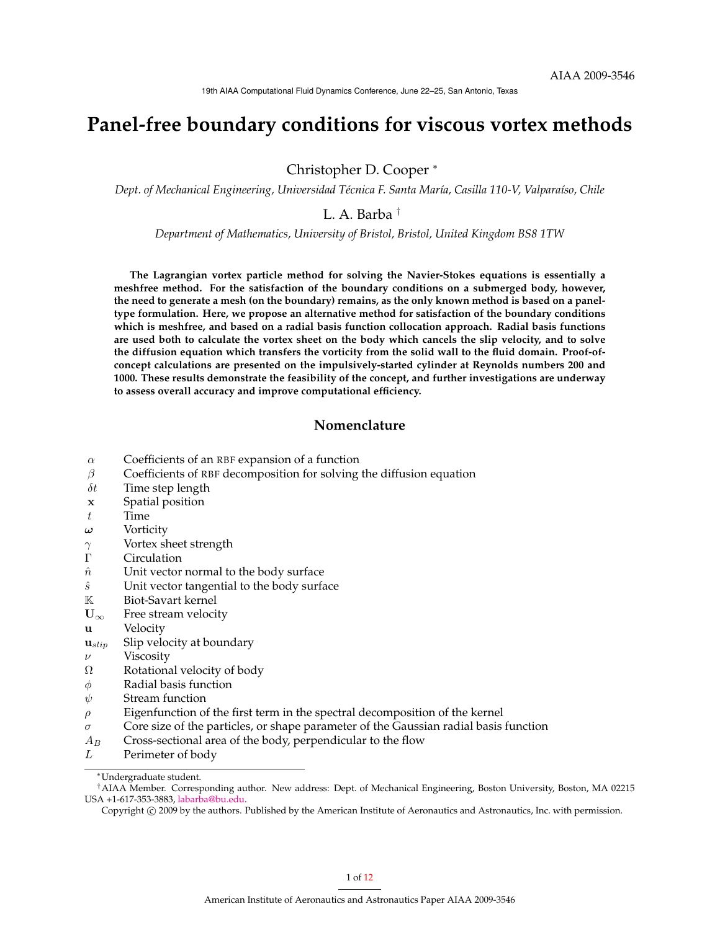# **Panel-free boundary conditions for viscous vortex methods**

Christopher D. Cooper <sup>∗</sup>

*Dept. of Mechanical Engineering, Universidad Técnica F. Santa María, Casilla 110-V, Valparaíso, Chile*

L. A. Barba †

*Department of Mathematics, University of Bristol, Bristol, United Kingdom BS8 1TW*

**The Lagrangian vortex particle method for solving the Navier-Stokes equations is essentially a meshfree method. For the satisfaction of the boundary conditions on a submerged body, however, the need to generate a mesh (on the boundary) remains, as the only known method is based on a paneltype formulation. Here, we propose an alternative method for satisfaction of the boundary conditions which is meshfree, and based on a radial basis function collocation approach. Radial basis functions are used both to calculate the vortex sheet on the body which cancels the slip velocity, and to solve the diffusion equation which transfers the vorticity from the solid wall to the fluid domain. Proof-ofconcept calculations are presented on the impulsively-started cylinder at Reynolds numbers 200 and 1000. These results demonstrate the feasibility of the concept, and further investigations are underway to assess overall accuracy and improve computational efficiency.**

# **Nomenclature**

- $\alpha$  Coefficients of an RBF expansion of a function
- $\beta$  Coefficients of RBF decomposition for solving the diffusion equation
- $\delta t$  Time step length
- x Spatial position
- $t$  Time
- $\omega$  Vorticity
- $\gamma$  Vortex sheet strength
- Γ Circulation
- $\hat{n}$  Unit vector normal to the body surface
- $\hat{s}$  Unit vector tangential to the body surface
- K Biot-Savart kernel
- $U_{\infty}$  Free stream velocity
- u Velocity
- $\mathbf{u}_{slip}$  Slip velocity at boundary
- $\nu$  Viscosity
- Ω Rotational velocity of body
- $\phi$  Radial basis function
- $\psi$  Stream function
- $\rho$  Eigenfunction of the first term in the spectral decomposition of the kernel
- $\sigma$  Core size of the particles, or shape parameter of the Gaussian radial basis function
- $A_B$  Cross-sectional area of the body, perpendicular to the flow
- L Perimeter of body

<sup>∗</sup>Undergraduate student.

<sup>†</sup>AIAA Member. Corresponding author. New address: Dept. of Mechanical Engineering, Boston University, Boston, MA 02215 USA +1-617-353-3883, [labarba@bu.edu.](mailto:labarba@bu.edu)

Copyright © 2009 by the authors. Published by the American Institute of Aeronautics and Astronautics, Inc. with permission.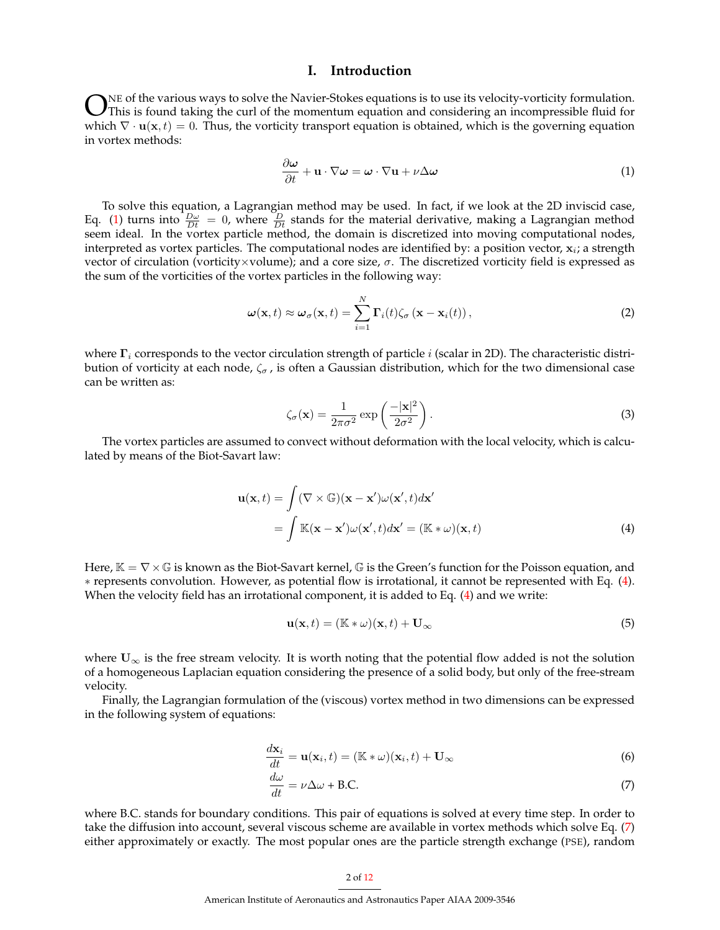## **I. Introduction**

WE of the various ways to solve the Navier-Stokes equations is to use its velocity-vorticity formulation.<br>This is found taking the curl of the momentum equation and considering an incompressible fluid for which  $\nabla \cdot \mathbf{$ NE of the various ways to solve the Navier-Stokes equations is to use its velocity-vorticity formulation. This is found taking the curl of the momentum equation and considering an incompressible fluid for in vortex methods:

<span id="page-1-0"></span>
$$
\frac{\partial \omega}{\partial t} + \mathbf{u} \cdot \nabla \omega = \omega \cdot \nabla \mathbf{u} + \nu \Delta \omega \tag{1}
$$

To solve this equation, a Lagrangian method may be used. In fact, if we look at the 2D inviscid case, Eq. [\(1\)](#page-1-0) turns into  $\frac{D\omega}{Dt} = 0$ , where  $\frac{D}{Dt}$  stands for the material derivative, making a Lagrangian method seem ideal. In the vortex particle method, the domain is discretized into moving computational nodes, interpreted as vortex particles. The computational nodes are identified by: a position vector,  $x_i$ ; a strength vector of circulation (vorticity×volume); and a core size,  $\sigma$ . The discretized vorticity field is expressed as the sum of the vorticities of the vortex particles in the following way:

$$
\boldsymbol{\omega}(\mathbf{x},t) \approx \boldsymbol{\omega}_{\sigma}(\mathbf{x},t) = \sum_{i=1}^{N} \mathbf{\Gamma}_{i}(t) \zeta_{\sigma}(\mathbf{x}-\mathbf{x}_{i}(t)),
$$
\n(2)

where  $\Gamma_i$  corresponds to the vector circulation strength of particle i (scalar in 2D). The characteristic distribution of vorticity at each node,  $\zeta_{\sigma}$ , is often a Gaussian distribution, which for the two dimensional case can be written as:

$$
\zeta_{\sigma}(\mathbf{x}) = \frac{1}{2\pi\sigma^2} \exp\left(\frac{-|\mathbf{x}|^2}{2\sigma^2}\right).
$$
\n(3)

The vortex particles are assumed to convect without deformation with the local velocity, which is calculated by means of the Biot-Savart law:

$$
\mathbf{u}(\mathbf{x},t) = \int (\nabla \times \mathbb{G})(\mathbf{x} - \mathbf{x}')\omega(\mathbf{x}',t) d\mathbf{x}'
$$
  
= 
$$
\int \mathbb{K}(\mathbf{x} - \mathbf{x}')\omega(\mathbf{x}',t) d\mathbf{x}' = (\mathbb{K} * \omega)(\mathbf{x},t)
$$
 (4)

Here,  $K = \nabla \times \mathbb{G}$  is known as the Biot-Savart kernel,  $\mathbb{G}$  is the Green's function for the Poisson equation, and ∗ represents convolution. However, as potential flow is irrotational, it cannot be represented with Eq. [\(4\)](#page-1-1). When the velocity field has an irrotational component, it is added to Eq. [\(4\)](#page-1-1) and we write:

<span id="page-1-1"></span>
$$
\mathbf{u}(\mathbf{x},t) = (\mathbb{K} * \omega)(\mathbf{x},t) + \mathbf{U}_{\infty} \tag{5}
$$

where  $U_{\infty}$  is the free stream velocity. It is worth noting that the potential flow added is not the solution of a homogeneous Laplacian equation considering the presence of a solid body, but only of the free-stream velocity.

Finally, the Lagrangian formulation of the (viscous) vortex method in two dimensions can be expressed in the following system of equations:

$$
\frac{d\mathbf{x}_i}{dt} = \mathbf{u}(\mathbf{x}_i, t) = (\mathbb{K} * \omega)(\mathbf{x}_i, t) + \mathbf{U}_{\infty}
$$
\n(6)

$$
\frac{d\omega}{dt} = \nu \Delta \omega + \text{B.C.} \tag{7}
$$

where B.C. stands for boundary conditions. This pair of equations is solved at every time step. In order to take the diffusion into account, several viscous scheme are available in vortex methods which solve Eq. [\(7\)](#page-1-2) either approximately or exactly. The most popular ones are the particle strength exchange (PSE), random

#### <span id="page-1-2"></span>2 of [12](#page-11-0)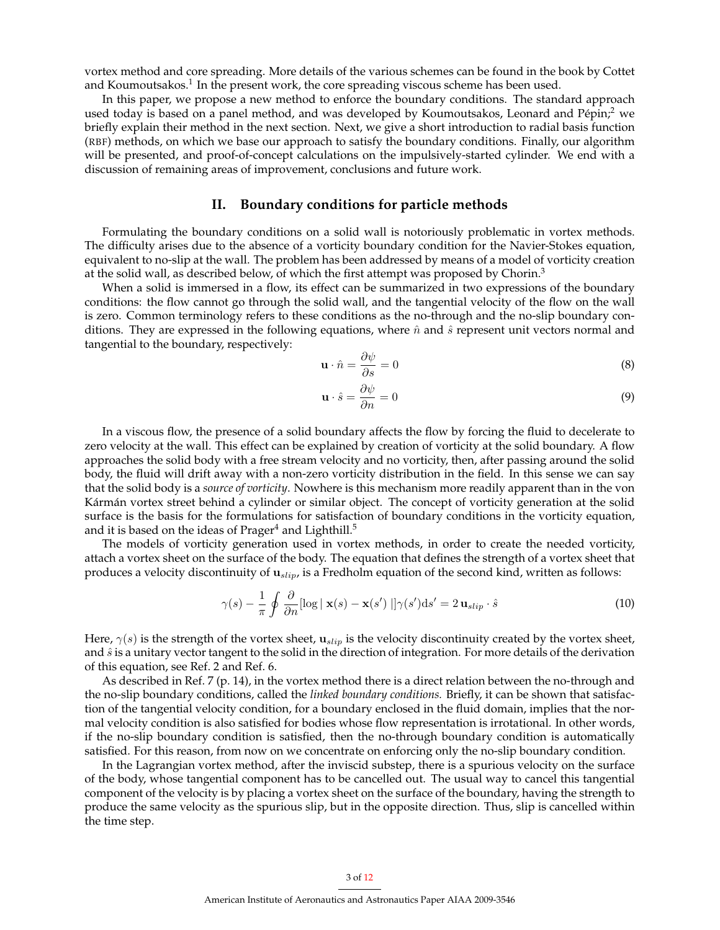vortex method and core spreading. More details of the various schemes can be found in the book by Cottet and Koumoutsakos. $^1$  In the present work, the core spreading viscous scheme has been used.

In this paper, we propose a new method to enforce the boundary conditions. The standard approach used today is based on a panel method, and was developed by Koumoutsakos, Leonard and Pépin;<sup>2</sup> we briefly explain their method in the next section. Next, we give a short introduction to radial basis function (RBF) methods, on which we base our approach to satisfy the boundary conditions. Finally, our algorithm will be presented, and proof-of-concept calculations on the impulsively-started cylinder. We end with a discussion of remaining areas of improvement, conclusions and future work.

### **II. Boundary conditions for particle methods**

Formulating the boundary conditions on a solid wall is notoriously problematic in vortex methods. The difficulty arises due to the absence of a vorticity boundary condition for the Navier-Stokes equation, equivalent to no-slip at the wall. The problem has been addressed by means of a model of vorticity creation at the solid wall, as described below, of which the first attempt was proposed by Chorin.<sup>3</sup>

When a solid is immersed in a flow, its effect can be summarized in two expressions of the boundary conditions: the flow cannot go through the solid wall, and the tangential velocity of the flow on the wall is zero. Common terminology refers to these conditions as the no-through and the no-slip boundary conditions. They are expressed in the following equations, where  $\hat{n}$  and  $\hat{s}$  represent unit vectors normal and tangential to the boundary, respectively:

$$
\mathbf{u} \cdot \hat{n} = \frac{\partial \psi}{\partial s} = 0 \tag{8}
$$

$$
\mathbf{u} \cdot \hat{s} = \frac{\partial \psi}{\partial n} = 0 \tag{9}
$$

In a viscous flow, the presence of a solid boundary affects the flow by forcing the fluid to decelerate to zero velocity at the wall. This effect can be explained by creation of vorticity at the solid boundary. A flow approaches the solid body with a free stream velocity and no vorticity, then, after passing around the solid body, the fluid will drift away with a non-zero vorticity distribution in the field. In this sense we can say that the solid body is a *source of vorticity*. Nowhere is this mechanism more readily apparent than in the von Kármán vortex street behind a cylinder or similar object. The concept of vorticity generation at the solid surface is the basis for the formulations for satisfaction of boundary conditions in the vorticity equation, and it is based on the ideas of  $Prager<sup>4</sup>$  and Lighthill.<sup>5</sup>

The models of vorticity generation used in vortex methods, in order to create the needed vorticity, attach a vortex sheet on the surface of the body. The equation that defines the strength of a vortex sheet that produces a velocity discontinuity of  $\mathbf{u}_{slip}$ , is a Fredholm equation of the second kind, written as follows:

<span id="page-2-0"></span>
$$
\gamma(s) - \frac{1}{\pi} \oint \frac{\partial}{\partial n} [\log \mid \mathbf{x}(s) - \mathbf{x}(s') \mid] \gamma(s') ds' = 2 \mathbf{u}_{slip} \cdot \hat{s}
$$
 (10)

Here,  $\gamma(s)$  is the strength of the vortex sheet,  $\mathbf{u}_{slip}$  is the velocity discontinuity created by the vortex sheet, and  $\hat{s}$  is a unitary vector tangent to the solid in the direction of integration. For more details of the derivation of this equation, see Ref. 2 and Ref. 6.

As described in Ref. 7 (p. 14), in the vortex method there is a direct relation between the no-through and the no-slip boundary conditions, called the *linked boundary conditions.* Briefly, it can be shown that satisfaction of the tangential velocity condition, for a boundary enclosed in the fluid domain, implies that the normal velocity condition is also satisfied for bodies whose flow representation is irrotational. In other words, if the no-slip boundary condition is satisfied, then the no-through boundary condition is automatically satisfied. For this reason, from now on we concentrate on enforcing only the no-slip boundary condition.

In the Lagrangian vortex method, after the inviscid substep, there is a spurious velocity on the surface of the body, whose tangential component has to be cancelled out. The usual way to cancel this tangential component of the velocity is by placing a vortex sheet on the surface of the boundary, having the strength to produce the same velocity as the spurious slip, but in the opposite direction. Thus, slip is cancelled within the time step.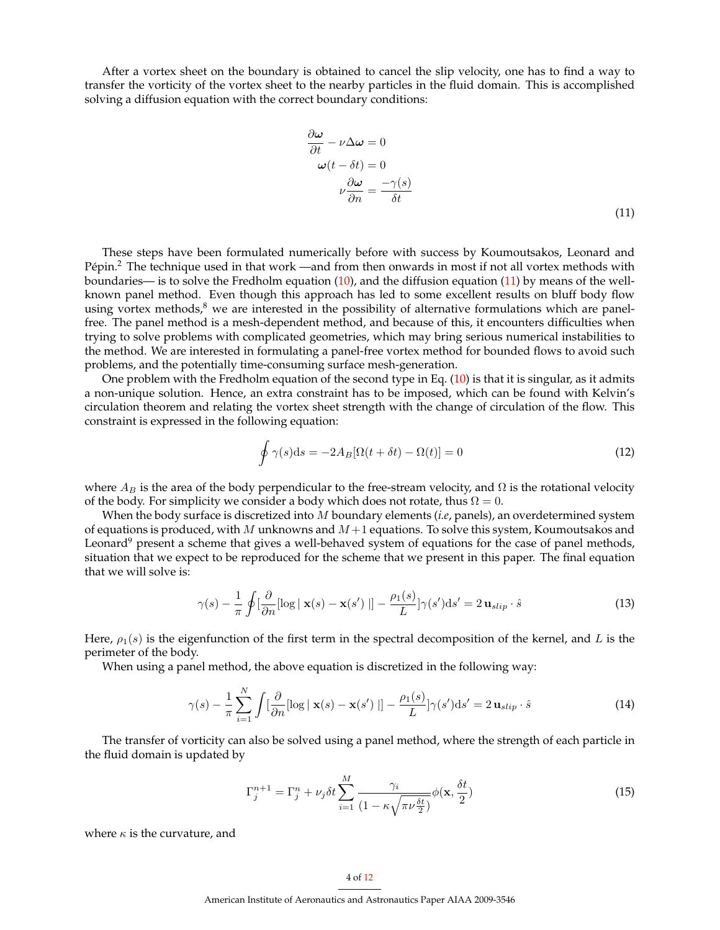After a vortex sheet on the boundary is obtained to cancel the slip velocity, one has to find a way to transfer the vorticity of the vortex sheet to the nearby particles in the fluid domain. This is accomplished solving a diffusion equation with the correct boundary conditions:

<span id="page-3-0"></span>
$$
\frac{\partial \omega}{\partial t} - \nu \Delta \omega = 0
$$
  

$$
\omega(t - \delta t) = 0
$$
  

$$
\nu \frac{\partial \omega}{\partial n} = \frac{-\gamma(s)}{\delta t}
$$
 (11)

These steps have been formulated numerically before with success by Koumoutsakos, Leonard and Pépin.<sup>2</sup> The technique used in that work —and from then onwards in most if not all vortex methods with boundaries— is to solve the Fredholm equation [\(10\)](#page-2-0), and the diffusion equation [\(11\)](#page-3-0) by means of the wellknown panel method. Even though this approach has led to some excellent results on bluff body flow using vortex methods, $8$  we are interested in the possibility of alternative formulations which are panelfree. The panel method is a mesh-dependent method, and because of this, it encounters difficulties when trying to solve problems with complicated geometries, which may bring serious numerical instabilities to the method. We are interested in formulating a panel-free vortex method for bounded flows to avoid such problems, and the potentially time-consuming surface mesh-generation.

One problem with the Fredholm equation of the second type in Eq.  $(10)$  is that it is singular, as it admits a non-unique solution. Hence, an extra constraint has to be imposed, which can be found with Kelvin's circulation theorem and relating the vortex sheet strength with the change of circulation of the flow. This constraint is expressed in the following equation:

$$
\oint \gamma(s)ds = -2A_B[\Omega(t+\delta t) - \Omega(t)] = 0
$$
\n(12)

where  $A_B$  is the area of the body perpendicular to the free-stream velocity, and  $\Omega$  is the rotational velocity of the body. For simplicity we consider a body which does not rotate, thus  $\Omega = 0$ .

When the body surface is discretized into M boundary elements (*i.e*, panels), an overdetermined system of equations is produced, with M unknowns and  $M+1$  equations. To solve this system, Koumoutsakos and Leonard<sup>9</sup> present a scheme that gives a well-behaved system of equations for the case of panel methods, situation that we expect to be reproduced for the scheme that we present in this paper. The final equation that we will solve is:

<span id="page-3-1"></span>
$$
\gamma(s) - \frac{1}{\pi} \oint \left[ \frac{\partial}{\partial n} [\log \mid \mathbf{x}(s) - \mathbf{x}(s') \mid] - \frac{\rho_1(s)}{L} \right] \gamma(s') ds' = 2 \mathbf{u}_{slip} \cdot \hat{s}
$$
 (13)

Here,  $\rho_1(s)$  is the eigenfunction of the first term in the spectral decomposition of the kernel, and L is the perimeter of the body.

When using a panel method, the above equation is discretized in the following way:

$$
\gamma(s) - \frac{1}{\pi} \sum_{i=1}^{N} \int \left[\frac{\partial}{\partial n} [\log \mid \mathbf{x}(s) - \mathbf{x}(s') \mid] - \frac{\rho_1(s)}{L} \gamma(s') ds' = 2 \mathbf{u}_{slip} \cdot \hat{s}
$$
(14)

The transfer of vorticity can also be solved using a panel method, where the strength of each particle in the fluid domain is updated by

$$
\Gamma_j^{n+1} = \Gamma_j^n + \nu_j \delta t \sum_{i=1}^M \frac{\gamma_i}{(1 - \kappa \sqrt{\pi \nu \frac{\delta t}{2}})} \phi(\mathbf{x}, \frac{\delta t}{2})
$$
(15)

where  $\kappa$  is the curvature, and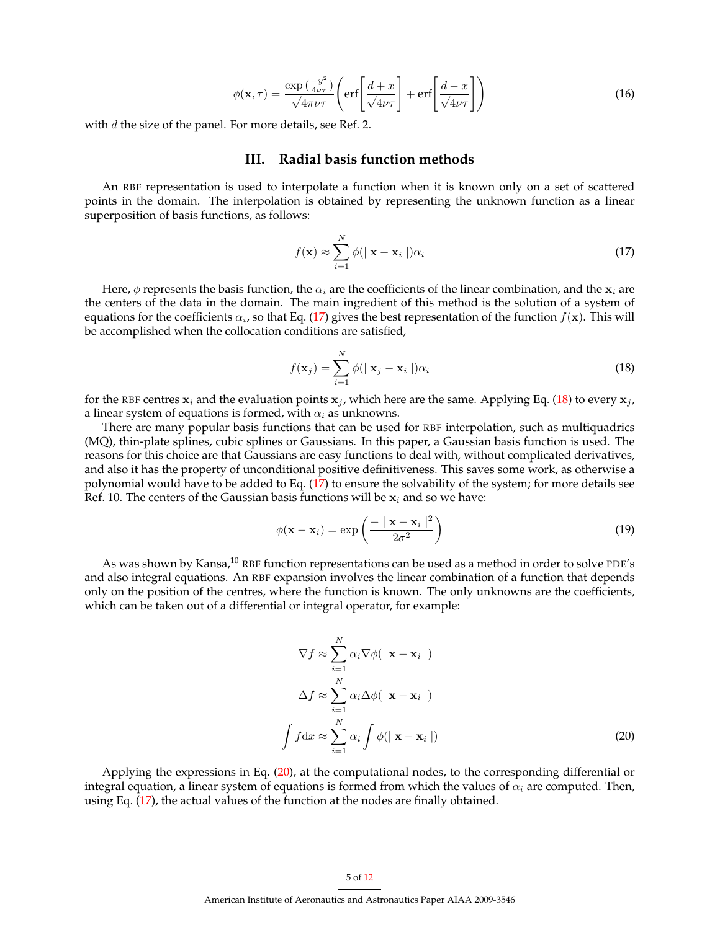$$
\phi(\mathbf{x},\tau) = \frac{\exp\left(\frac{-y^2}{4\nu\tau}\right)}{\sqrt{4\pi\nu\tau}} \left( \text{erf}\left[\frac{d+x}{\sqrt{4\nu\tau}}\right] + \text{erf}\left[\frac{d-x}{\sqrt{4\nu\tau}}\right] \right) \tag{16}
$$

with  $d$  the size of the panel. For more details, see Ref. 2.

#### **III. Radial basis function methods**

An RBF representation is used to interpolate a function when it is known only on a set of scattered points in the domain. The interpolation is obtained by representing the unknown function as a linear superposition of basis functions, as follows:

<span id="page-4-0"></span>
$$
f(\mathbf{x}) \approx \sum_{i=1}^{N} \phi(|\mathbf{x} - \mathbf{x}_i|) \alpha_i
$$
 (17)

Here,  $\phi$  represents the basis function, the  $\alpha_i$  are the coefficients of the linear combination, and the  $x_i$  are the centers of the data in the domain. The main ingredient of this method is the solution of a system of equations for the coefficients  $\alpha_i$ , so that Eq. [\(17\)](#page-4-0) gives the best representation of the function  $f(\mathbf{x})$ . This will be accomplished when the collocation conditions are satisfied,

<span id="page-4-1"></span>
$$
f(\mathbf{x}_j) = \sum_{i=1}^{N} \phi(|\mathbf{x}_j - \mathbf{x}_i|) \alpha_i
$$
 (18)

for the RBF centres  $x_i$  and the evaluation points  $x_j$ , which here are the same. Applying Eq. [\(18\)](#page-4-1) to every  $x_j$ , a linear system of equations is formed, with  $\alpha_i$  as unknowns.

There are many popular basis functions that can be used for RBF interpolation, such as multiquadrics (MQ), thin-plate splines, cubic splines or Gaussians. In this paper, a Gaussian basis function is used. The reasons for this choice are that Gaussians are easy functions to deal with, without complicated derivatives, and also it has the property of unconditional positive definitiveness. This saves some work, as otherwise a polynomial would have to be added to Eq. [\(17\)](#page-4-0) to ensure the solvability of the system; for more details see Ref. 10. The centers of the Gaussian basis functions will be  $x_i$  and so we have:

$$
\phi(\mathbf{x} - \mathbf{x}_i) = \exp\left(\frac{-\|\mathbf{x} - \mathbf{x}_i\|^2}{2\sigma^2}\right)
$$
\n(19)

As was shown by Kansa,<sup>10</sup> RBF function representations can be used as a method in order to solve PDE's and also integral equations. An RBF expansion involves the linear combination of a function that depends only on the position of the centres, where the function is known. The only unknowns are the coefficients, which can be taken out of a differential or integral operator, for example:

<span id="page-4-2"></span>
$$
\nabla f \approx \sum_{i=1}^{N} \alpha_i \nabla \phi(|\mathbf{x} - \mathbf{x}_i|)
$$

$$
\Delta f \approx \sum_{i=1}^{N} \alpha_i \Delta \phi(|\mathbf{x} - \mathbf{x}_i|)
$$

$$
\int f \, dx \approx \sum_{i=1}^{N} \alpha_i \int \phi(|\mathbf{x} - \mathbf{x}_i|)
$$
(20)

Applying the expressions in Eq. [\(20\)](#page-4-2), at the computational nodes, to the corresponding differential or integral equation, a linear system of equations is formed from which the values of  $\alpha_i$  are computed. Then, using Eq. [\(17\)](#page-4-0), the actual values of the function at the nodes are finally obtained.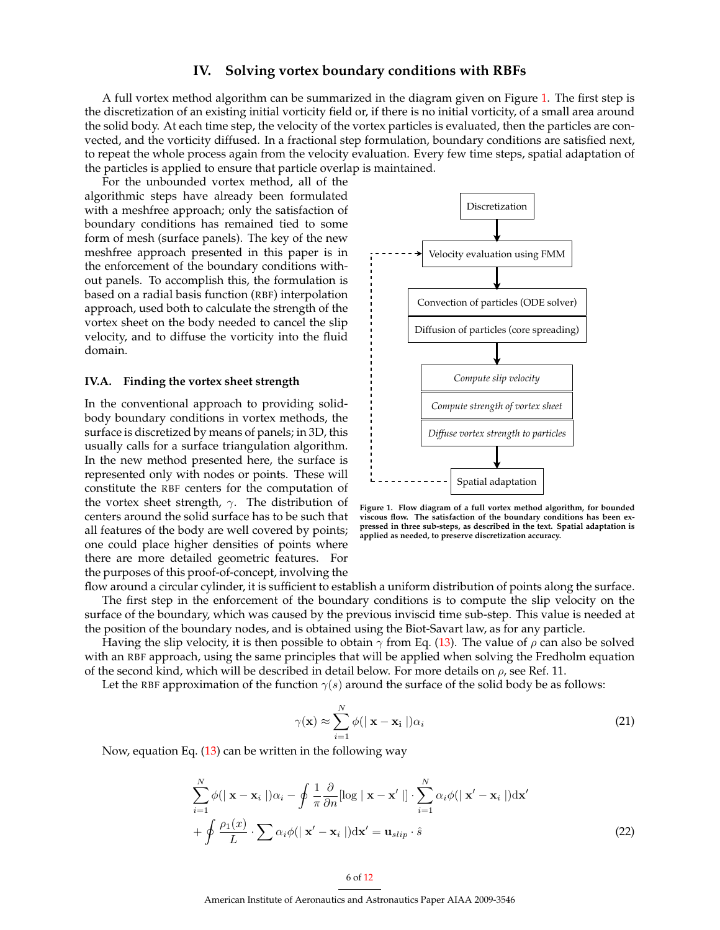## **IV. Solving vortex boundary conditions with RBFs**

A full vortex method algorithm can be summarized in the diagram given on Figure [1.](#page-5-0) The first step is the discretization of an existing initial vorticity field or, if there is no initial vorticity, of a small area around the solid body. At each time step, the velocity of the vortex particles is evaluated, then the particles are convected, and the vorticity diffused. In a fractional step formulation, boundary conditions are satisfied next, to repeat the whole process again from the velocity evaluation. Every few time steps, spatial adaptation of the particles is applied to ensure that particle overlap is maintained.

For the unbounded vortex method, all of the algorithmic steps have already been formulated with a meshfree approach; only the satisfaction of boundary conditions has remained tied to some form of mesh (surface panels). The key of the new meshfree approach presented in this paper is in the enforcement of the boundary conditions without panels. To accomplish this, the formulation is based on a radial basis function (RBF) interpolation approach, used both to calculate the strength of the vortex sheet on the body needed to cancel the slip velocity, and to diffuse the vorticity into the fluid domain.

#### **IV.A. Finding the vortex sheet strength**

In the conventional approach to providing solidbody boundary conditions in vortex methods, the surface is discretized by means of panels; in 3D, this usually calls for a surface triangulation algorithm. In the new method presented here, the surface is represented only with nodes or points. These will constitute the RBF centers for the computation of the vortex sheet strength,  $\gamma$ . The distribution of centers around the solid surface has to be such that all features of the body are well covered by points; one could place higher densities of points where there are more detailed geometric features. For the purposes of this proof-of-concept, involving the



<span id="page-5-0"></span>**Figure 1. Flow diagram of a full vortex method algorithm, for bounded viscous flow. The satisfaction of the boundary conditions has been expressed in three sub-steps, as described in the text. Spatial adaptation is applied as needed, to preserve discretization accuracy.**

flow around a circular cylinder, it is sufficient to establish a uniform distribution of points along the surface. The first step in the enforcement of the boundary conditions is to compute the slip velocity on the surface of the boundary, which was caused by the previous inviscid time sub-step. This value is needed at the position of the boundary nodes, and is obtained using the Biot-Savart law, as for any particle.

Having the slip velocity, it is then possible to obtain  $\gamma$  from Eq. [\(13\)](#page-3-1). The value of  $\rho$  can also be solved with an RBF approach, using the same principles that will be applied when solving the Fredholm equation of the second kind, which will be described in detail below. For more details on  $\rho$ , see Ref. 11.

Let the RBF approximation of the function  $\gamma(s)$  around the surface of the solid body be as follows:

$$
\gamma(\mathbf{x}) \approx \sum_{i=1}^{N} \phi(|\mathbf{x} - \mathbf{x_i}|) \alpha_i
$$
\n(21)

Now, equation Eq. [\(13\)](#page-3-1) can be written in the following way

$$
\sum_{i=1}^{N} \phi(|\mathbf{x} - \mathbf{x}_i|) \alpha_i - \oint \frac{1}{\pi} \frac{\partial}{\partial n} [\log |\mathbf{x} - \mathbf{x}'|] \cdot \sum_{i=1}^{N} \alpha_i \phi(|\mathbf{x}' - \mathbf{x}_i|) d\mathbf{x}'
$$

$$
+ \oint \frac{\rho_1(x)}{L} \cdot \sum \alpha_i \phi(|\mathbf{x}' - \mathbf{x}_i|) d\mathbf{x}' = \mathbf{u}_{slip} \cdot \hat{s}
$$
(22)

American Institute of Aeronautics and Astronautics Paper AIAA 2009-3546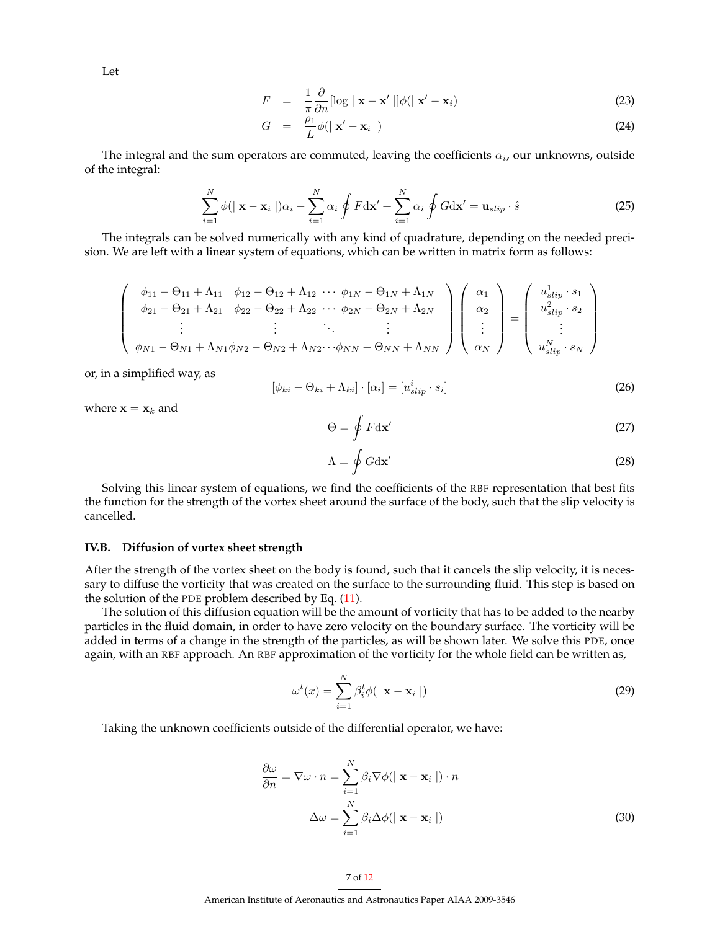Let

$$
F = \frac{1}{\pi} \frac{\partial}{\partial n} [\log |\mathbf{x} - \mathbf{x}'|] \phi(|\mathbf{x}' - \mathbf{x}_i)
$$
 (23)

$$
G = \frac{\rho_1}{L}\phi(|\mathbf{x}' - \mathbf{x}_i|) \tag{24}
$$

The integral and the sum operators are commuted, leaving the coefficients  $\alpha_i$ , our unknowns, outside of the integral:

$$
\sum_{i=1}^{N} \phi(|\mathbf{x} - \mathbf{x}_i|) \alpha_i - \sum_{i=1}^{N} \alpha_i \oint F \, \mathrm{d} \mathbf{x}' + \sum_{i=1}^{N} \alpha_i \oint G \, \mathrm{d} \mathbf{x}' = \mathbf{u}_{slip} \cdot \hat{s}
$$
 (25)

The integrals can be solved numerically with any kind of quadrature, depending on the needed precision. We are left with a linear system of equations, which can be written in matrix form as follows:

$$
\begin{pmatrix}\n\phi_{11} - \Theta_{11} + \Lambda_{11} & \phi_{12} - \Theta_{12} + \Lambda_{12} & \cdots & \phi_{1N} - \Theta_{1N} + \Lambda_{1N} \\
\phi_{21} - \Theta_{21} + \Lambda_{21} & \phi_{22} - \Theta_{22} + \Lambda_{22} & \cdots & \phi_{2N} - \Theta_{2N} + \Lambda_{2N} \\
\vdots & \vdots & \ddots & \vdots \\
\phi_{N1} - \Theta_{N1} + \Lambda_{N1}\phi_{N2} - \Theta_{N2} + \Lambda_{N2} & \cdots & \phi_{NN} - \Theta_{NN} + \Lambda_{NN}\n\end{pmatrix}\n\begin{pmatrix}\n\alpha_1 \\
\alpha_2 \\
\vdots \\
\alpha_N\n\end{pmatrix} =\n\begin{pmatrix}\nu_{slip}^1 \cdot s_1 \\
u_{slip}^2 \cdot s_2 \\
\vdots \\
u_{slip}^N \cdot s_N\n\end{pmatrix}
$$

or, in a simplified way, as

$$
[\phi_{ki} - \Theta_{ki} + \Lambda_{ki}] \cdot [\alpha_i] = [u_{slip}^i \cdot s_i]
$$
\n(26)

where  $\mathbf{x} = \mathbf{x}_k$  and

$$
\Theta = \oint F \, \mathrm{d} \mathbf{x}' \tag{27}
$$

$$
\Lambda = \oint G \mathrm{d}\mathbf{x}' \tag{28}
$$

Solving this linear system of equations, we find the coefficients of the RBF representation that best fits the function for the strength of the vortex sheet around the surface of the body, such that the slip velocity is cancelled.

#### **IV.B. Diffusion of vortex sheet strength**

After the strength of the vortex sheet on the body is found, such that it cancels the slip velocity, it is necessary to diffuse the vorticity that was created on the surface to the surrounding fluid. This step is based on the solution of the PDE problem described by Eq. [\(11\)](#page-3-0).

The solution of this diffusion equation will be the amount of vorticity that has to be added to the nearby particles in the fluid domain, in order to have zero velocity on the boundary surface. The vorticity will be added in terms of a change in the strength of the particles, as will be shown later. We solve this PDE, once again, with an RBF approach. An RBF approximation of the vorticity for the whole field can be written as,

<span id="page-6-1"></span><span id="page-6-0"></span>
$$
\omega^{t}(x) = \sum_{i=1}^{N} \beta_{i}^{t} \phi(|\mathbf{x} - \mathbf{x}_{i}|)
$$
\n(29)

Taking the unknown coefficients outside of the differential operator, we have:

$$
\frac{\partial \omega}{\partial n} = \nabla \omega \cdot n = \sum_{i=1}^{N} \beta_i \nabla \phi (\mid \mathbf{x} - \mathbf{x}_i \mid) \cdot n
$$

$$
\Delta \omega = \sum_{i=1}^{N} \beta_i \Delta \phi (\mid \mathbf{x} - \mathbf{x}_i \mid)
$$
(30)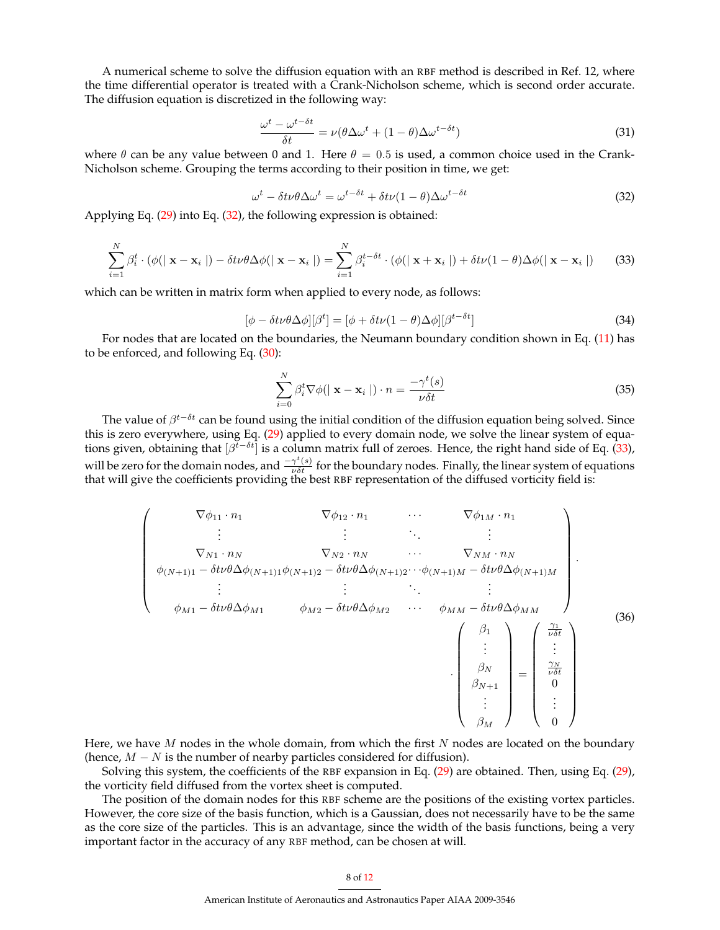A numerical scheme to solve the diffusion equation with an RBF method is described in Ref. 12, where the time differential operator is treated with a Crank-Nicholson scheme, which is second order accurate. The diffusion equation is discretized in the following way:

$$
\frac{\omega^t - \omega^{t - \delta t}}{\delta t} = \nu (\theta \Delta \omega^t + (1 - \theta) \Delta \omega^{t - \delta t})
$$
\n(31)

where  $\theta$  can be any value between 0 and 1. Here  $\theta = 0.5$  is used, a common choice used in the Crank-Nicholson scheme. Grouping the terms according to their position in time, we get:

<span id="page-7-0"></span>
$$
\omega^t - \delta t \nu \theta \Delta \omega^t = \omega^{t - \delta t} + \delta t \nu (1 - \theta) \Delta \omega^{t - \delta t} \tag{32}
$$

Applying Eq. [\(29\)](#page-6-0) into Eq. [\(32\)](#page-7-0), the following expression is obtained:

<span id="page-7-1"></span>
$$
\sum_{i=1}^{N} \beta_i^t \cdot (\phi(|\mathbf{x} - \mathbf{x}_i|) - \delta t \nu \theta \Delta \phi(|\mathbf{x} - \mathbf{x}_i|)) = \sum_{i=1}^{N} \beta_i^{t - \delta t} \cdot (\phi(|\mathbf{x} + \mathbf{x}_i|) + \delta t \nu (1 - \theta) \Delta \phi(|\mathbf{x} - \mathbf{x}_i|))
$$
(33)

which can be written in matrix form when applied to every node, as follows:

$$
[\phi - \delta t \nu \theta \Delta \phi][\beta^t] = [\phi + \delta t \nu (1 - \theta) \Delta \phi][\beta^{t - \delta t}]
$$
\n(34)

For nodes that are located on the boundaries, the Neumann boundary condition shown in Eq. [\(11\)](#page-3-0) has to be enforced, and following Eq. [\(30\)](#page-6-1):

$$
\sum_{i=0}^{N} \beta_i^t \nabla \phi(|\mathbf{x} - \mathbf{x}_i|) \cdot n = \frac{-\gamma^t(s)}{\nu \delta t}
$$
\n(35)

The value of  $\beta^{t-\delta t}$  can be found using the initial condition of the diffusion equation being solved. Since this is zero everywhere, using Eq. [\(29\)](#page-6-0) applied to every domain node, we solve the linear system of equations given, obtaining that  $[\beta^{t-\delta t}]$  is a column matrix full of zeroes. Hence, the right hand side of Eq. [\(33\)](#page-7-1), will be zero for the domain nodes, and  $\frac{-\gamma^t(s)}{\nu \delta t}$  for the boundary nodes. Finally, the linear system of equations that will give the coefficients providing the best RBF representation of the diffused vorticity field is:

$$
\begin{pmatrix}\n\nabla \phi_{11} \cdot n_1 & \nabla \phi_{12} \cdot n_1 & \cdots & \nabla \phi_{1M} \cdot n_1 \\
\vdots & \vdots & \ddots & \vdots \\
\nabla_{N1} \cdot n_N & \nabla_{N2} \cdot n_N & \nabla_{NM} \cdot n_N \\
\phi_{(N+1)1} - \delta t \nu \theta \Delta \phi_{(N+1)1} \phi_{(N+1)2} - \delta t \nu \theta \Delta \phi_{(N+1)2} \cdots \phi_{(N+1)M} - \delta t \nu \theta \Delta \phi_{(N+1)M} \\
\vdots & \vdots & \ddots & \vdots \\
\phi_{M1} - \delta t \nu \theta \Delta \phi_{M1} & \phi_{M2} - \delta t \nu \theta \Delta \phi_{M2} & \cdots & \phi_{MM} - \delta t \nu \theta \Delta \phi_{MM} \\
\vdots & \vdots \\
\beta_N & \vdots \\
\beta_N & \vdots \\
\beta_M\n\end{pmatrix} = \begin{pmatrix}\n\frac{\gamma_1}{\nu \delta t} \\
\vdots \\
\frac{\gamma_N}{\nu \delta t} \\
\vdots \\
\beta_M\n\end{pmatrix}
$$
\n(36)

Here, we have  $M$  nodes in the whole domain, from which the first  $N$  nodes are located on the boundary (hence,  $M - N$  is the number of nearby particles considered for diffusion).

Solving this system, the coefficients of the RBF expansion in Eq. [\(29\)](#page-6-0) are obtained. Then, using Eq. [\(29\)](#page-6-0), the vorticity field diffused from the vortex sheet is computed.

The position of the domain nodes for this RBF scheme are the positions of the existing vortex particles. However, the core size of the basis function, which is a Gaussian, does not necessarily have to be the same as the core size of the particles. This is an advantage, since the width of the basis functions, being a very important factor in the accuracy of any RBF method, can be chosen at will.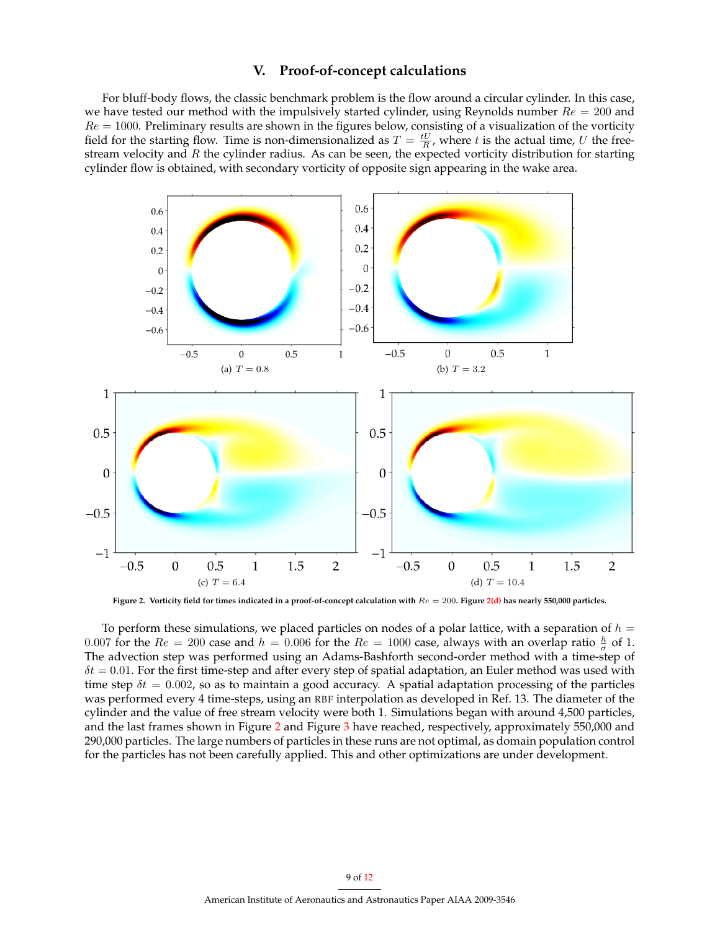## **V. Proof-of-concept calculations**

For bluff-body flows, the classic benchmark problem is the flow around a circular cylinder. In this case, we have tested our method with the impulsively started cylinder, using Reynolds number  $Re = 200$  and  $Re = 1000$ . Preliminary results are shown in the figures below, consisting of a visualization of the vorticity field for the starting flow. Time is non-dimensionalized as  $T = \frac{tU}{R}$ , where t is the actual time, U the freestream velocity and  $R$  the cylinder radius. As can be seen, the expected vorticity distribution for starting cylinder flow is obtained, with secondary vorticity of opposite sign appearing in the wake area.



<span id="page-8-1"></span><span id="page-8-0"></span>Figure 2. Vorticity field for times indicated in a proof-of-concept calculation with  $Re = 200$ . Figure [2\(d\)](#page-8-0) has nearly 550,000 particles.

To perform these simulations, we placed particles on nodes of a polar lattice, with a separation of  $h =$ 0.007 for the  $Re = 200$  case and  $h = 0.006$  for the  $Re = 1000$  case, always with an overlap ratio  $\frac{h}{\sigma}$  of 1. The advection step was performed using an Adams-Bashforth second-order method with a time-step of  $\delta t = 0.01$ . For the first time-step and after every step of spatial adaptation, an Euler method was used with time step  $\delta t = 0.002$ , so as to maintain a good accuracy. A spatial adaptation processing of the particles was performed every 4 time-steps, using an RBF interpolation as developed in Ref. 13. The diameter of the cylinder and the value of free stream velocity were both 1. Simulations began with around 4,500 particles, and the last frames shown in Figure [2](#page-8-1) and Figure [3](#page-9-0) have reached, respectively, approximately 550,000 and 290,000 particles. The large numbers of particles in these runs are not optimal, as domain population control for the particles has not been carefully applied. This and other optimizations are under development.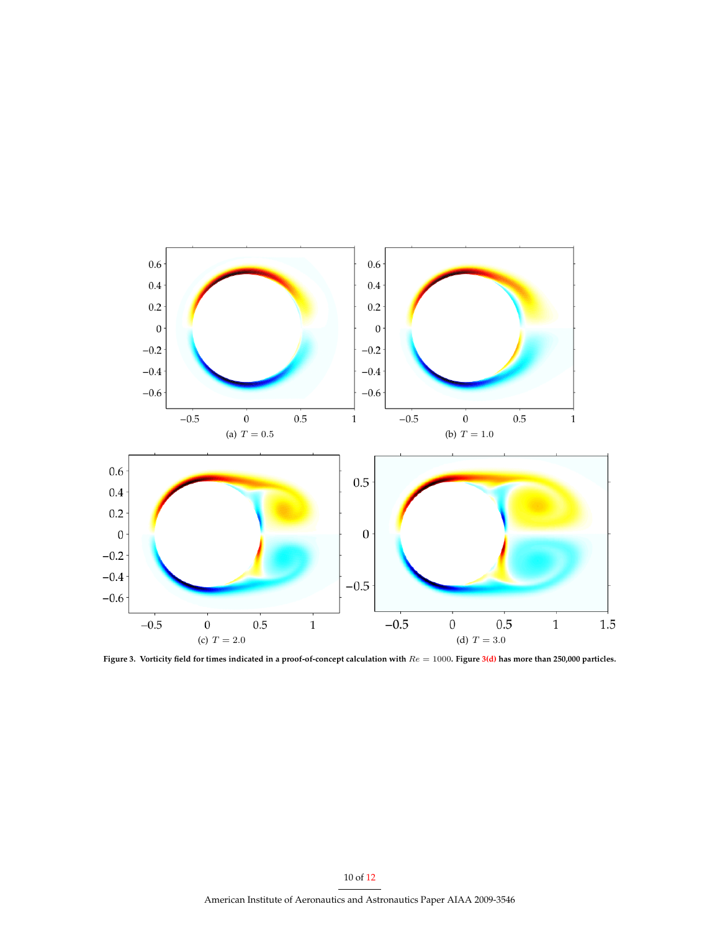

<span id="page-9-1"></span><span id="page-9-0"></span>**Figure 3. Vorticity field for times indicated in a proof-of-concept calculation with** Re = 1000**. Figure [3\(d\)](#page-9-1) has more than 250,000 particles.**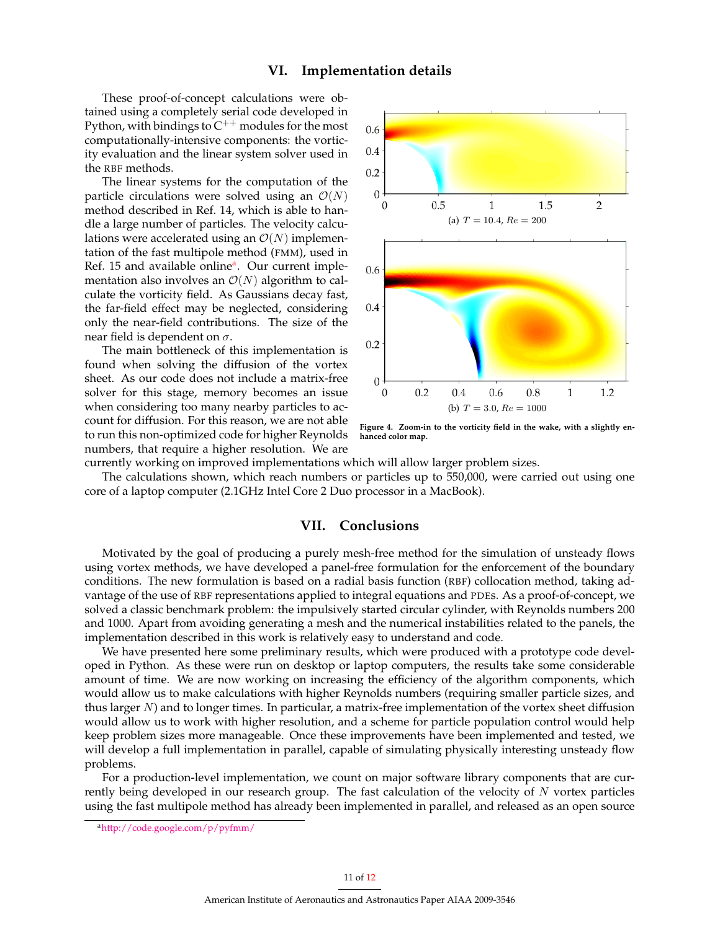# **VI. Implementation details**

These proof-of-concept calculations were obtained using a completely serial code developed in Python, with bindings to  $C^{++}$  modules for the most computationally-intensive components: the vorticity evaluation and the linear system solver used in the RBF methods.

The linear systems for the computation of the particle circulations were solved using an  $\mathcal{O}(N)$ method described in Ref. 14, which is able to handle a large number of particles. The velocity calculations were accelerated using an  $\mathcal{O}(N)$  implementation of the fast multipole method (FMM), used in Ref. 15 [a](#page-10-0)nd available online<sup>a</sup>. Our current implementation also involves an  $\mathcal{O}(N)$  algorithm to calculate the vorticity field. As Gaussians decay fast, the far-field effect may be neglected, considering only the near-field contributions. The size of the near field is dependent on  $\sigma$ .

The main bottleneck of this implementation is found when solving the diffusion of the vortex sheet. As our code does not include a matrix-free solver for this stage, memory becomes an issue when considering too many nearby particles to account for diffusion. For this reason, we are not able to run this non-optimized code for higher Reynolds numbers, that require a higher resolution. We are



**Figure 4. Zoom-in to the vorticity field in the wake, with a slightly enhanced color map.**

currently working on improved implementations which will allow larger problem sizes.

The calculations shown, which reach numbers or particles up to 550,000, were carried out using one core of a laptop computer (2.1GHz Intel Core 2 Duo processor in a MacBook).

# **VII. Conclusions**

Motivated by the goal of producing a purely mesh-free method for the simulation of unsteady flows using vortex methods, we have developed a panel-free formulation for the enforcement of the boundary conditions. The new formulation is based on a radial basis function (RBF) collocation method, taking advantage of the use of RBF representations applied to integral equations and PDEs. As a proof-of-concept, we solved a classic benchmark problem: the impulsively started circular cylinder, with Reynolds numbers 200 and 1000. Apart from avoiding generating a mesh and the numerical instabilities related to the panels, the implementation described in this work is relatively easy to understand and code.

We have presented here some preliminary results, which were produced with a prototype code developed in Python. As these were run on desktop or laptop computers, the results take some considerable amount of time. We are now working on increasing the efficiency of the algorithm components, which would allow us to make calculations with higher Reynolds numbers (requiring smaller particle sizes, and thus larger  $N$ ) and to longer times. In particular, a matrix-free implementation of the vortex sheet diffusion would allow us to work with higher resolution, and a scheme for particle population control would help keep problem sizes more manageable. Once these improvements have been implemented and tested, we will develop a full implementation in parallel, capable of simulating physically interesting unsteady flow problems.

For a production-level implementation, we count on major software library components that are currently being developed in our research group. The fast calculation of the velocity of  $N$  vortex particles using the fast multipole method has already been implemented in parallel, and released as an open source

<span id="page-10-0"></span><sup>a</sup><http://code.google.com/p/pyfmm/>